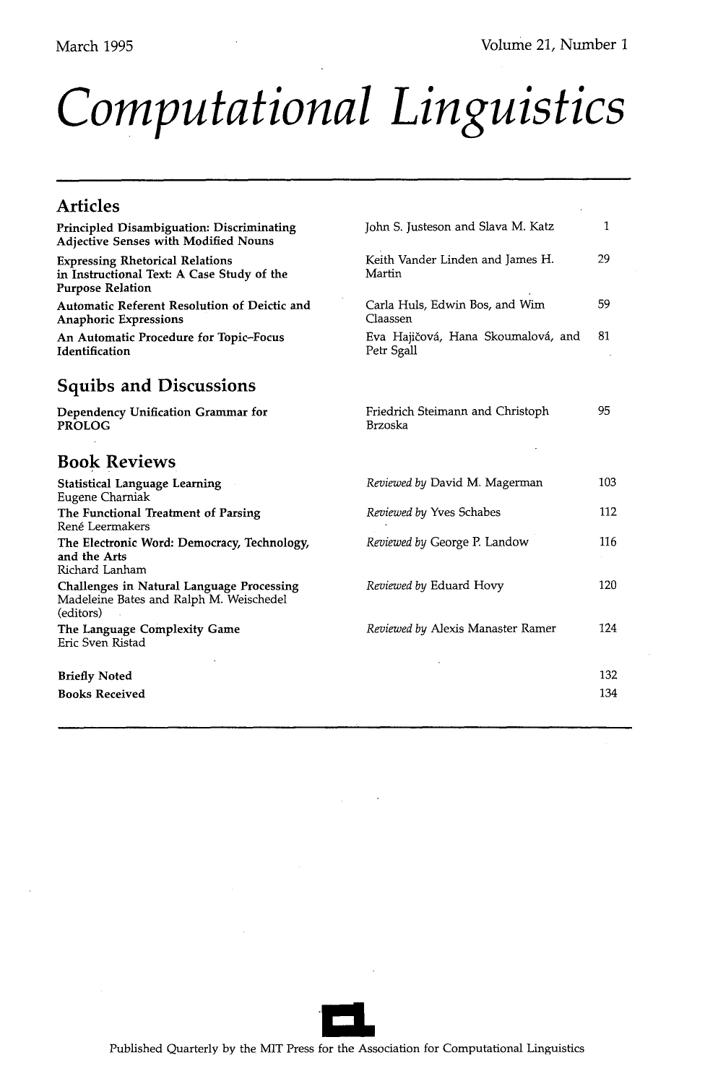# *Computational Linguistics*

| <b>Articles</b>                                                                                                 |                                                  |     |
|-----------------------------------------------------------------------------------------------------------------|--------------------------------------------------|-----|
| <b>Principled Disambiguation: Discriminating</b><br><b>Adjective Senses with Modified Nouns</b>                 | John S. Justeson and Slava M. Katz               | 1   |
| <b>Expressing Rhetorical Relations</b><br>in Instructional Text: A Case Study of the<br><b>Purpose Relation</b> | Keith Vander Linden and James H.<br>Martin       | 29  |
| Automatic Referent Resolution of Deictic and<br><b>Anaphoric Expressions</b>                                    | Carla Huls, Edwin Bos, and Wim<br>Claassen       | 59  |
| An Automatic Procedure for Topic-Focus<br>Identification                                                        | Eva Hajičová, Hana Skoumalová, and<br>Petr Sgall | 81  |
| <b>Squibs and Discussions</b>                                                                                   |                                                  |     |
| Dependency Unification Grammar for<br><b>PROLOG</b>                                                             | Friedrich Steimann and Christoph<br>Brzoska      | 95  |
| <b>Book Reviews</b>                                                                                             |                                                  |     |
| <b>Statistical Language Learning</b><br>Eugene Charniak                                                         | Reviewed by David M. Magerman                    | 103 |
| The Functional Treatment of Parsing<br>René Leermakers                                                          | Reviewed by Yves Schabes                         | 112 |
| The Electronic Word: Democracy, Technology,<br>and the Arts<br>Richard Lanham                                   | Reviewed by George P. Landow                     | 116 |
| Challenges in Natural Language Processing<br>Madeleine Bates and Ralph M. Weischedel<br>(editors)               | Reviewed by Eduard Hovy                          | 120 |
| The Language Complexity Game<br>Eric Sven Ristad                                                                | Reviewed by Alexis Manaster Ramer                | 124 |
| <b>Briefly Noted</b>                                                                                            |                                                  | 132 |
| <b>Books Received</b>                                                                                           |                                                  | 134 |
|                                                                                                                 |                                                  |     |

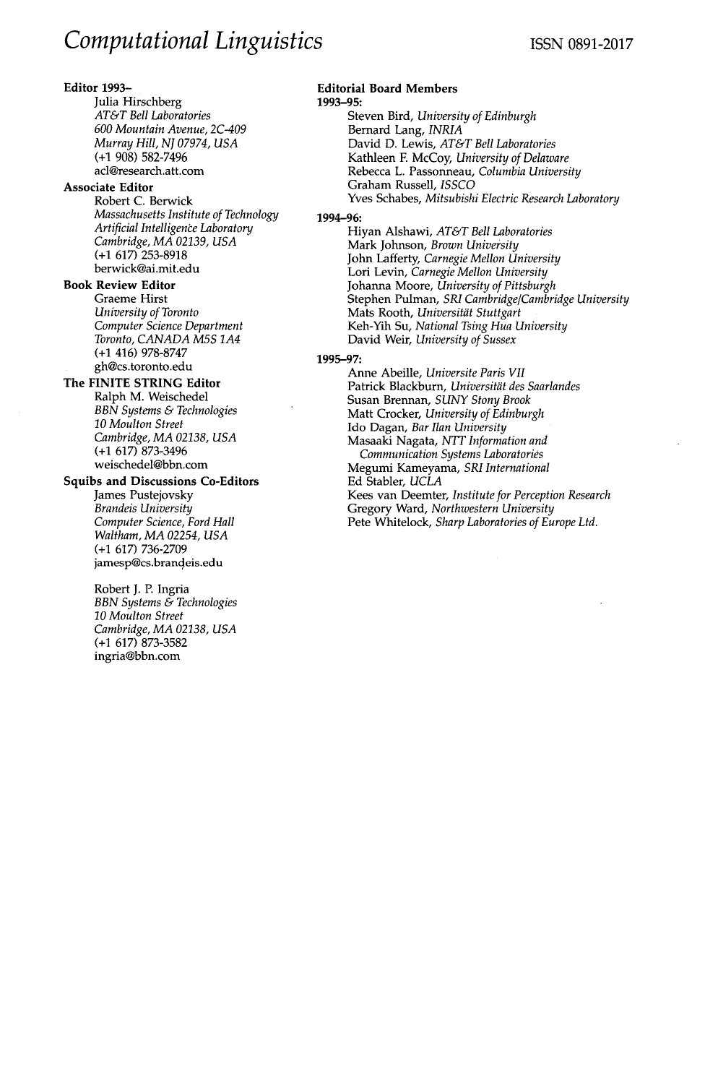### **Editor** 1993-

Julia Hirschberg *AT&T Bell Laboratories 600 Mountain Avenue, 2C-409 Murray Hill, NJ 07974, USA*  (+1 908) 582-7496 acl@research.att.com

### **Associate Editor**

Robert C. Berwick *Massachusetts Institute of Technology Artificial Intelligence Laboratory Cambridge, MA 02139, USA*  (+1 617) 253-8918 berwick@ai.mit.edu

## **Book Review Editor**

Graeme Hirst *University of Toronto Computer Science Department Toronto, CANADA M5S 1A4*  (+1 416) 978-8747 gh@cs.toronto.edu

# **The FINITE STRING Editor**

Ralph M. Weischedel *BBN Systems & Technologies 10 Moulton Street Cambridge, MA 02138, USA*  (+1 617) 873-3496 weischedel@bbn.com

# **Squibs and Discussions Co-Editors**

James Pustejovsky *Brandeis University Computer Science, Ford Hall Waltham, MA 02254, USA*  (+1 617) 736-2709 jamesp@cs.brandeis.edu

Robert J. P. Ingria *BBN Systems & Technologies 10 Moulton Street Cambridge, MA 02138, USA*  (+1 617) 873-3582 ingria@bbn.com

# **Editorial Board Members**

1993-95: Steven Bird, *University of Edinburgh*  Bernard Lang, *INRIA*  David D. Lewis, *AT&T Bell Laboratories*  Kathleen E McCoy, *University of Delaware*  Rebecca L. Passonneau, *Columbia University*  Graham Russell, *ISSCO*  Yves Schabes, *Mitsubishi Electric Research Laboratory* 

### 1994-96:

Hiyan Alshawi, *AT&T Bell Laboratories*  Mark Johnson, *Brown University*  John Lafferty, *Carnegie Mellon University*  Lori Levin, *Carnegie Mellon University*  Johanna Moore, *University of Pittsburgh*  Stephen Pulman, *SRI Cambridge*/Cambridge University Mats Rooth, *Universität Stuttgart* Keh-Yih Su, *National Tsing Hua University*  David Weir, *University of Sussex* 

#### 1995-97:

Anne Abeille, *Universite Paris VII*  Patrick Blackburn, Universität des Saarlandes Susan Brennan, *SUNY Stony Brook*  Matt Crocker, *University of Edinburgh*  Ido Dagan, *Bar Ilan University*  Masaaki Nagata, *NTT Information and Communication Systems Laboratories*  Megumi Kameyama, *SRI International*  Ed Stabler, *UCLA*  Kees van Deemter, *Institute for Perception Research*  Gregory Ward, *Northwestern University*  Pete Whitelock, *Sharp Laboratories of Europe Ltd.*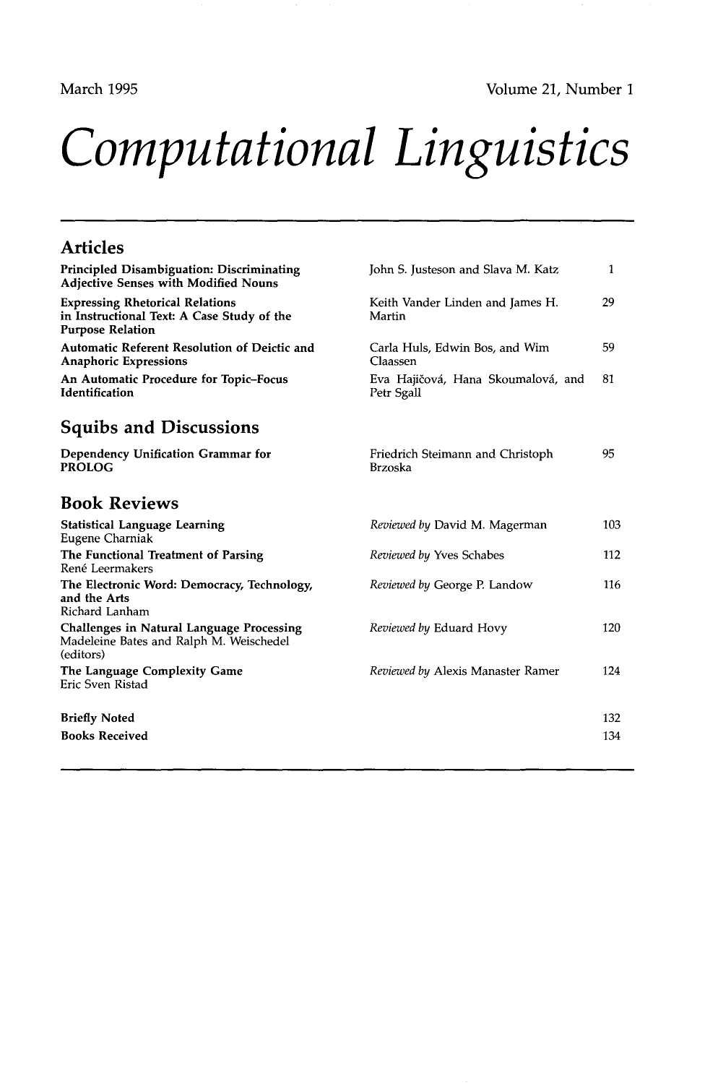March 1995 Volume 21, Number 1

# *Computational Linguistics*

#### **Articles Principled Disambiguation: Discriminating Adjective Senses with Modified Nouns Expressing Rhetorical Relations in Instructional Text: A Case Study of the Purpose Relation Automatic Referent Resolution of Deictic and Anaphoric Expressions An Automatic Procedure for Topic-Focus Identification Squibs and Discussions Dependency Unification Grammar for**  PROLOG **Book Reviews Statistical Language Learning**  Eugene Charniak **The Functional Treatment of Parsing**  René Leermakers **The Electronic Word: Democracy,** Technology, and the Arts Richard Lanham Challenges in Natural Language **Processing**  Madeleine Bates and Ralph M. Weischedel (editors) The Language Complexity Game Eric Sven Ristad John S. Justeson and Slava M. Katz 1 Keith Vander Linden and James H. 29 Martin Carla Huls, Edwin Bos, and Wim 59 Claassen Eva Hajičová, Hana Skoumalová, and 81 Petr Sgall Friedrich Steimann and Christoph 95 Brzoska *Reviewed by David M. Magerman* 103 *Reviewed by Yves Schabes* 112 *Reviewed by George P. Landow* 116 *Reviewed by Eduard Hovy* 120 *Reviewed by Alexis Manaster Ramer* 124 **Briefly Noted** 132 **Books Received** 134